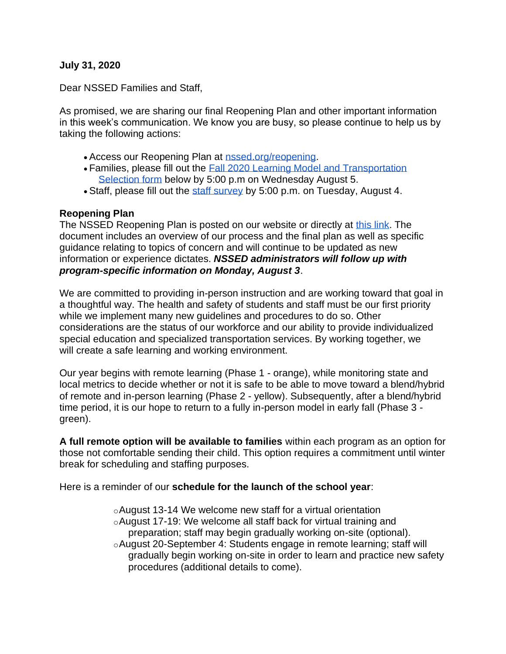#### **July 31, 2020**

Dear NSSED Families and Staff,

As promised, we are sharing our final Reopening Plan and other important information in this week's communication. We know you are busy, so please continue to help us by taking the following actions:

- Access our Reopening Plan at [nssed.org/reopening.](https://www.nssed.org/reopening)
- Families, please fill out the [Fall 2020 Learning Model and Transportation](https://docs.google.com/forms/d/e/1FAIpQLSenYXmmuVRkLmSB0fjb0oySoC7qxss5vRU4Gdn7U-Duw7rFtA/viewform?usp=sf_link)  [Selection form](https://docs.google.com/forms/d/e/1FAIpQLSenYXmmuVRkLmSB0fjb0oySoC7qxss5vRU4Gdn7U-Duw7rFtA/viewform?usp=sf_link) below by 5:00 p.m on Wednesday August 5.
- Staff, please fill out the [staff survey](https://docs.google.com/forms/d/e/1FAIpQLSe3FDSOTFcUQr05Sgx7l7BUpJJqjc2tVoDKsAaVvxgWPKI5yg/viewform?usp=sf_link) by 5:00 p.m. on Tuesday, August 4.

#### **Reopening Plan**

The NSSED Reopening Plan is posted on our website or directly at [this link.](https://docs.google.com/document/d/1fSOHV3Ld9J0ByBo7kV4N7W9WHFpFBQBibNOo2wILNcw/edit#heading=h.va21bxex1ak7) The document includes an overview of our process and the final plan as well as specific guidance relating to topics of concern and will continue to be updated as new information or experience dictates. *NSSED administrators will follow up with program-specific information on Monday, August 3*.

We are committed to providing in-person instruction and are working toward that goal in a thoughtful way. The health and safety of students and staff must be our first priority while we implement many new guidelines and procedures to do so. Other considerations are the status of our workforce and our ability to provide individualized special education and specialized transportation services. By working together, we will create a safe learning and working environment.

Our year begins with remote learning (Phase 1 - orange), while monitoring state and local metrics to decide whether or not it is safe to be able to move toward a blend/hybrid of remote and in-person learning (Phase 2 - yellow). Subsequently, after a blend/hybrid time period, it is our hope to return to a fully in-person model in early fall (Phase 3 green).

**A full remote option will be available to families** within each program as an option for those not comfortable sending their child. This option requires a commitment until winter break for scheduling and staffing purposes.

Here is a reminder of our **schedule for the launch of the school year**:

oAugust 13-14 We welcome new staff for a virtual orientation oAugust 17-19: We welcome all staff back for virtual training and preparation; staff may begin gradually working on-site (optional). oAugust 20-September 4: Students engage in remote learning; staff will gradually begin working on-site in order to learn and practice new safety procedures (additional details to come).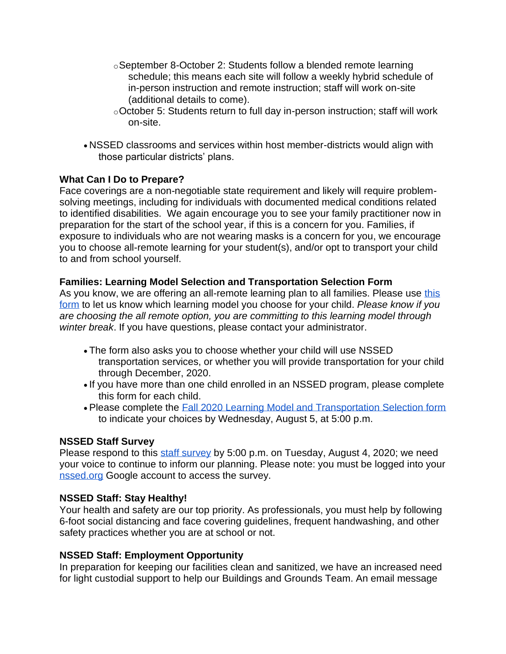- oSeptember 8-October 2: Students follow a blended remote learning schedule; this means each site will follow a weekly hybrid schedule of in-person instruction and remote instruction; staff will work on-site (additional details to come).
- oOctober 5: Students return to full day in-person instruction; staff will work on-site.
- NSSED classrooms and services within host member-districts would align with those particular districts' plans.

## **What Can I Do to Prepare?**

Face coverings are a non-negotiable state requirement and likely will require problemsolving meetings, including for individuals with documented medical conditions related to identified disabilities. We again encourage you to see your family practitioner now in preparation for the start of the school year, if this is a concern for you. Families, if exposure to individuals who are not wearing masks is a concern for you, we encourage you to choose all-remote learning for your student(s), and/or opt to transport your child to and from school yourself.

## **Families: Learning Model Selection and Transportation Selection Form**

As you know, we are offering an all-remote learning plan to all families. Please use this [form](https://docs.google.com/forms/d/e/1FAIpQLSenYXmmuVRkLmSB0fjb0oySoC7qxss5vRU4Gdn7U-Duw7rFtA/viewform?usp=sf_link) to let us know which learning model you choose for your child. *Please know if you are choosing the all remote option, you are committing to this learning model through winter break*. If you have questions, please contact your administrator.

- The form also asks you to choose whether your child will use NSSED transportation services, or whether you will provide transportation for your child through December, 2020.
- If you have more than one child enrolled in an NSSED program, please complete this form for each child.
- Please complete the [Fall 2020 Learning Model and Transportation Selection form](https://docs.google.com/forms/d/e/1FAIpQLSenYXmmuVRkLmSB0fjb0oySoC7qxss5vRU4Gdn7U-Duw7rFtA/viewform?usp=sf_link) to indicate your choices by Wednesday, August 5, at 5:00 p.m.

## **NSSED Staff Survey**

Please respond to this [staff survey](https://docs.google.com/forms/d/e/1FAIpQLSe3FDSOTFcUQr05Sgx7l7BUpJJqjc2tVoDKsAaVvxgWPKI5yg/viewform?usp=sf_link) by 5:00 p.m. on Tuesday, August 4, 2020; we need your voice to continue to inform our planning. Please note: you must be logged into your [nssed.org](http://nssed.org/) Google account to access the survey.

## **NSSED Staff: Stay Healthy!**

Your health and safety are our top priority. As professionals, you must help by following 6-foot social distancing and face covering guidelines, frequent handwashing, and other safety practices whether you are at school or not.

# **NSSED Staff: Employment Opportunity**

In preparation for keeping our facilities clean and sanitized, we have an increased need for light custodial support to help our Buildings and Grounds Team. An email message